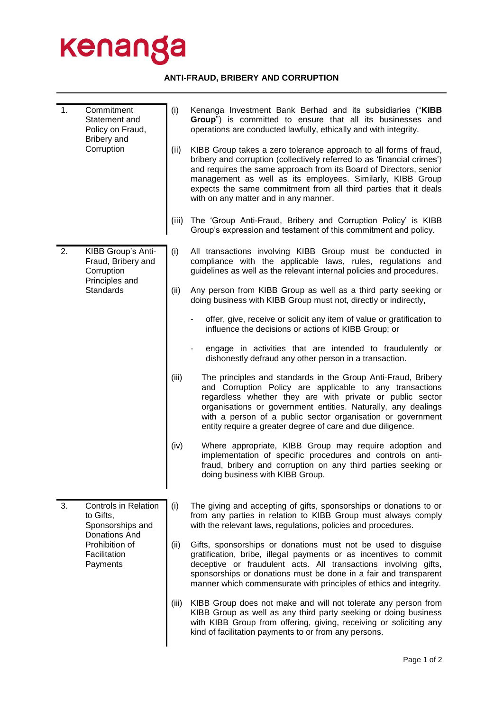## kenanga

## **ANTI-FRAUD, BRIBERY AND CORRUPTION**

| 1. | Commitment<br>Statement and<br>Policy on Fraud,<br>Bribery and<br>Corruption                                                | (i)   | Kenanga Investment Bank Berhad and its subsidiaries ("KIBB<br>Group") is committed to ensure that all its businesses and<br>operations are conducted lawfully, ethically and with integrity.                                                                                                                                                                                                  |
|----|-----------------------------------------------------------------------------------------------------------------------------|-------|-----------------------------------------------------------------------------------------------------------------------------------------------------------------------------------------------------------------------------------------------------------------------------------------------------------------------------------------------------------------------------------------------|
|    |                                                                                                                             | (ii)  | KIBB Group takes a zero tolerance approach to all forms of fraud,<br>bribery and corruption (collectively referred to as 'financial crimes')<br>and requires the same approach from its Board of Directors, senior<br>management as well as its employees. Similarly, KIBB Group<br>expects the same commitment from all third parties that it deals<br>with on any matter and in any manner. |
|    |                                                                                                                             | (iii) | The 'Group Anti-Fraud, Bribery and Corruption Policy' is KIBB<br>Group's expression and testament of this commitment and policy.                                                                                                                                                                                                                                                              |
| 2. | KIBB Group's Anti-<br>Fraud, Bribery and<br>Corruption<br>Principles and<br>Standards                                       | (i)   | All transactions involving KIBB Group must be conducted in<br>compliance with the applicable laws, rules, regulations and<br>guidelines as well as the relevant internal policies and procedures.                                                                                                                                                                                             |
|    |                                                                                                                             | (ii)  | Any person from KIBB Group as well as a third party seeking or<br>doing business with KIBB Group must not, directly or indirectly,                                                                                                                                                                                                                                                            |
|    |                                                                                                                             |       | offer, give, receive or solicit any item of value or gratification to<br>influence the decisions or actions of KIBB Group; or                                                                                                                                                                                                                                                                 |
|    |                                                                                                                             |       | engage in activities that are intended to fraudulently or<br>dishonestly defraud any other person in a transaction.                                                                                                                                                                                                                                                                           |
|    |                                                                                                                             | (iii) | The principles and standards in the Group Anti-Fraud, Bribery<br>and Corruption Policy are applicable to any transactions<br>regardless whether they are with private or public sector<br>organisations or government entities. Naturally, any dealings<br>with a person of a public sector organisation or government<br>entity require a greater degree of care and due diligence.          |
|    |                                                                                                                             | (iv)  | Where appropriate, KIBB Group may require adoption and<br>implementation of specific procedures and controls on anti-<br>fraud, bribery and corruption on any third parties seeking or<br>doing business with KIBB Group.                                                                                                                                                                     |
| 3. | <b>Controls in Relation</b><br>to Gifts,<br>Sponsorships and<br>Donations And<br>Prohibition of<br>Facilitation<br>Payments | (i)   | The giving and accepting of gifts, sponsorships or donations to or<br>from any parties in relation to KIBB Group must always comply<br>with the relevant laws, regulations, policies and procedures.                                                                                                                                                                                          |
|    |                                                                                                                             | (ii)  | Gifts, sponsorships or donations must not be used to disguise<br>gratification, bribe, illegal payments or as incentives to commit<br>deceptive or fraudulent acts. All transactions involving gifts,<br>sponsorships or donations must be done in a fair and transparent<br>manner which commensurate with principles of ethics and integrity.                                               |
|    |                                                                                                                             | (iii) | KIBB Group does not make and will not tolerate any person from<br>KIBB Group as well as any third party seeking or doing business<br>with KIBB Group from offering, giving, receiving or soliciting any<br>kind of facilitation payments to or from any persons.                                                                                                                              |